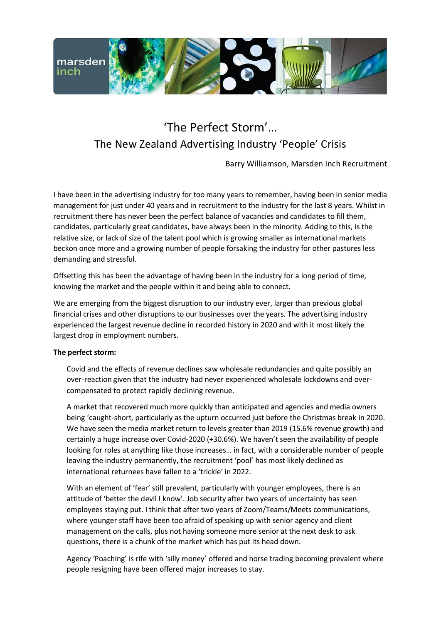

## 'The Perfect Storm'… The New Zealand Advertising Industry 'People' Crisis

Barry Williamson, Marsden Inch Recruitment

I have been in the advertising industry for too many years to remember, having been in senior media management for just under 40 years and in recruitment to the industry for the last 8 years. Whilst in recruitment there has never been the perfect balance of vacancies and candidates to fill them, candidates, particularly great candidates, have always been in the minority. Adding to this, is the relative size, or lack of size of the talent pool which is growing smaller as international markets beckon once more and a growing number of people forsaking the industry for other pastures less demanding and stressful.

Offsetting this has been the advantage of having been in the industry for a long period of time, knowing the market and the people within it and being able to connect.

We are emerging from the biggest disruption to our industry ever, larger than previous global financial crises and other disruptions to our businesses over the years. The advertising industry experienced the largest revenue decline in recorded history in 2020 and with it most likely the largest drop in employment numbers.

## **The perfect storm:**

Covid and the effects of revenue declines saw wholesale redundancies and quite possibly an over-reaction given that the industry had never experienced wholesale lockdowns and overcompensated to protect rapidly declining revenue.

A market that recovered much more quickly than anticipated and agencies and media owners being 'caught-short, particularly as the upturn occurred just before the Christmas break in 2020. We have seen the media market return to levels greater than 2019 (15.6% revenue growth) and certainly a huge increase over Covid-2020 (+30.6%). We haven't seen the availability of people looking for roles at anything like those increases… in fact, with a considerable number of people leaving the industry permanently, the recruitment 'pool' has most likely declined as international returnees have fallen to a 'trickle' in 2022.

With an element of 'fear' still prevalent, particularly with younger employees, there is an attitude of 'better the devil I know'. Job security after two years of uncertainty has seen employees staying put. I think that after two years of Zoom/Teams/Meets communications, where younger staff have been too afraid of speaking up with senior agency and client management on the calls, plus not having someone more senior at the next desk to ask questions, there is a chunk of the market which has put its head down.

Agency 'Poaching' is rife with 'silly money' offered and horse trading becoming prevalent where people resigning have been offered major increases to stay.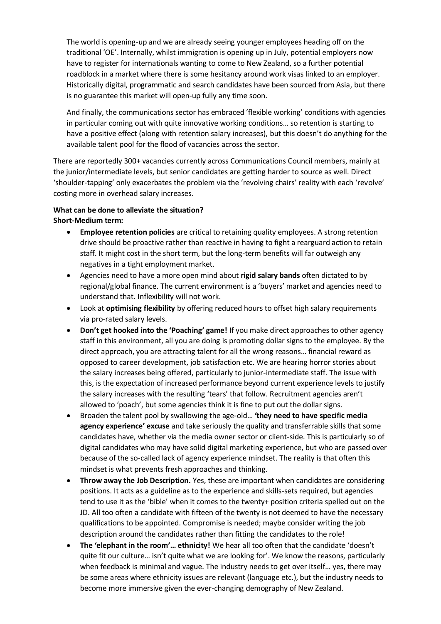The world is opening-up and we are already seeing younger employees heading off on the traditional 'OE'. Internally, whilst immigration is opening up in July, potential employers now have to register for internationals wanting to come to New Zealand, so a further potential roadblock in a market where there is some hesitancy around work visas linked to an employer. Historically digital, programmatic and search candidates have been sourced from Asia, but there is no guarantee this market will open-up fully any time soon.

And finally, the communications sector has embraced 'flexible working' conditions with agencies in particular coming out with quite innovative working conditions… so retention is starting to have a positive effect (along with retention salary increases), but this doesn't do anything for the available talent pool for the flood of vacancies across the sector.

There are reportedly 300+ vacancies currently across Communications Council members, mainly at the junior/intermediate levels, but senior candidates are getting harder to source as well. Direct 'shoulder-tapping' only exacerbates the problem via the 'revolving chairs' reality with each 'revolve' costing more in overhead salary increases.

## **What can be done to alleviate the situation? Short-Medium term:**

- **Employee retention policies** are critical to retaining quality employees. A strong retention drive should be proactive rather than reactive in having to fight a rearguard action to retain staff. It might cost in the short term, but the long-term benefits will far outweigh any negatives in a tight employment market.
- Agencies need to have a more open mind about **rigid salary bands** often dictated to by regional/global finance. The current environment is a 'buyers' market and agencies need to understand that. Inflexibility will not work.
- Look at **optimising flexibility** by offering reduced hours to offset high salary requirements via pro-rated salary levels.
- **Don't get hooked into the 'Poaching' game!** If you make direct approaches to other agency staff in this environment, all you are doing is promoting dollar signs to the employee. By the direct approach, you are attracting talent for all the wrong reasons… financial reward as opposed to career development, job satisfaction etc. We are hearing horror stories about the salary increases being offered, particularly to junior-intermediate staff. The issue with this, is the expectation of increased performance beyond current experience levels to justify the salary increases with the resulting 'tears' that follow. Recruitment agencies aren't allowed to 'poach', but some agencies think it is fine to put out the dollar signs.
- Broaden the talent pool by swallowing the age-old… **'they need to have specific media agency experience' excuse** and take seriously the quality and transferrable skills that some candidates have, whether via the media owner sector or client-side. This is particularly so of digital candidates who may have solid digital marketing experience, but who are passed over because of the so-called lack of agency experience mindset. The reality is that often this mindset is what prevents fresh approaches and thinking.
- **Throw away the Job Description.** Yes, these are important when candidates are considering positions. It acts as a guideline as to the experience and skills-sets required, but agencies tend to use it as the 'bible' when it comes to the twenty+ position criteria spelled out on the JD. All too often a candidate with fifteen of the twenty is not deemed to have the necessary qualifications to be appointed. Compromise is needed; maybe consider writing the job description around the candidates rather than fitting the candidates to the role!
- **The 'elephant in the room'… ethnicity!** We hear all too often that the candidate 'doesn't quite fit our culture… isn't quite what we are looking for'. We know the reasons, particularly when feedback is minimal and vague. The industry needs to get over itself… yes, there may be some areas where ethnicity issues are relevant (language etc.), but the industry needs to become more immersive given the ever-changing demography of New Zealand.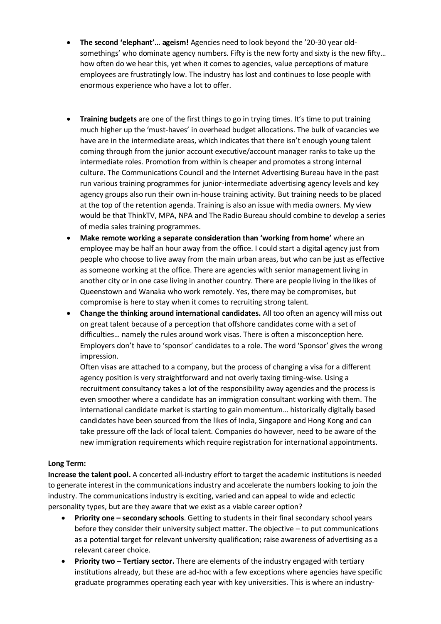- **The second 'elephant'… ageism!** Agencies need to look beyond the '20-30 year oldsomethings' who dominate agency numbers. Fifty is the new forty and sixty is the new fifty… how often do we hear this, yet when it comes to agencies, value perceptions of mature employees are frustratingly low. The industry has lost and continues to lose people with enormous experience who have a lot to offer.
- **Training budgets** are one of the first things to go in trying times. It's time to put training much higher up the 'must-haves' in overhead budget allocations. The bulk of vacancies we have are in the intermediate areas, which indicates that there isn't enough young talent coming through from the junior account executive/account manager ranks to take up the intermediate roles. Promotion from within is cheaper and promotes a strong internal culture. The Communications Council and the Internet Advertising Bureau have in the past run various training programmes for junior-intermediate advertising agency levels and key agency groups also run their own in-house training activity. But training needs to be placed at the top of the retention agenda. Training is also an issue with media owners. My view would be that ThinkTV, MPA, NPA and The Radio Bureau should combine to develop a series of media sales training programmes.
- **Make remote working a separate consideration than 'working from home'** where an employee may be half an hour away from the office. I could start a digital agency just from people who choose to live away from the main urban areas, but who can be just as effective as someone working at the office. There are agencies with senior management living in another city or in one case living in another country. There are people living in the likes of Queenstown and Wanaka who work remotely. Yes, there may be compromises, but compromise is here to stay when it comes to recruiting strong talent.
- **Change the thinking around international candidates.** All too often an agency will miss out on great talent because of a perception that offshore candidates come with a set of difficulties… namely the rules around work visas. There is often a misconception here. Employers don't have to 'sponsor' candidates to a role. The word 'Sponsor' gives the wrong impression.

Often visas are attached to a company, but the process of changing a visa for a different agency position is very straightforward and not overly taxing timing-wise. Using a recruitment consultancy takes a lot of the responsibility away agencies and the process is even smoother where a candidate has an immigration consultant working with them. The international candidate market is starting to gain momentum… historically digitally based candidates have been sourced from the likes of India, Singapore and Hong Kong and can take pressure off the lack of local talent. Companies do however, need to be aware of the new immigration requirements which require registration for international appointments.

## **Long Term:**

**Increase the talent pool.** A concerted all-industry effort to target the academic institutions is needed to generate interest in the communications industry and accelerate the numbers looking to join the industry. The communications industry is exciting, varied and can appeal to wide and eclectic personality types, but are they aware that we exist as a viable career option?

- **Priority one – secondary schools**. Getting to students in their final secondary school years before they consider their university subject matter. The objective – to put communications as a potential target for relevant university qualification; raise awareness of advertising as a relevant career choice.
- **Priority two – Tertiary sector.** There are elements of the industry engaged with tertiary institutions already, but these are ad-hoc with a few exceptions where agencies have specific graduate programmes operating each year with key universities. This is where an industry-